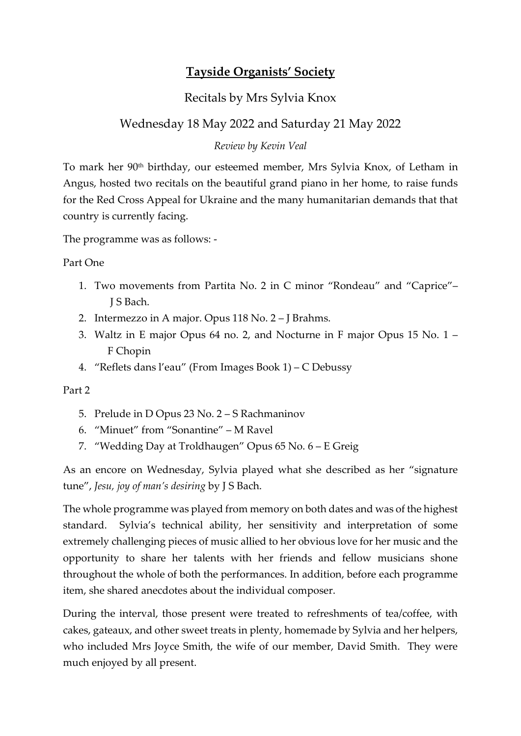## Tayside Organists' Society

## Recitals by Mrs Sylvia Knox

## Wednesday 18 May 2022 and Saturday 21 May 2022

## Review by Kevin Veal

To mark her 90th birthday, our esteemed member, Mrs Sylvia Knox, of Letham in Angus, hosted two recitals on the beautiful grand piano in her home, to raise funds for the Red Cross Appeal for Ukraine and the many humanitarian demands that that country is currently facing.

The programme was as follows: -

Part One

- 1. Two movements from Partita No. 2 in C minor "Rondeau" and "Caprice"– J S Bach.
- 2. Intermezzo in A major. Opus 118 No. 2 J Brahms.
- 3. Waltz in E major Opus 64 no. 2, and Nocturne in F major Opus 15 No. 1 F Chopin
- 4. "Reflets dans l'eau" (From Images Book 1) C Debussy

Part 2

- 5. Prelude in D Opus 23 No. 2 S Rachmaninov
- 6. "Minuet" from "Sonantine" M Ravel
- 7. "Wedding Day at Troldhaugen" Opus 65 No. 6 E Greig

As an encore on Wednesday, Sylvia played what she described as her "signature tune", Jesu, joy of man's desiring by J S Bach.

The whole programme was played from memory on both dates and was of the highest standard. Sylvia's technical ability, her sensitivity and interpretation of some extremely challenging pieces of music allied to her obvious love for her music and the opportunity to share her talents with her friends and fellow musicians shone throughout the whole of both the performances. In addition, before each programme item, she shared anecdotes about the individual composer.

During the interval, those present were treated to refreshments of tea/coffee, with cakes, gateaux, and other sweet treats in plenty, homemade by Sylvia and her helpers, who included Mrs Joyce Smith, the wife of our member, David Smith. They were much enjoyed by all present.